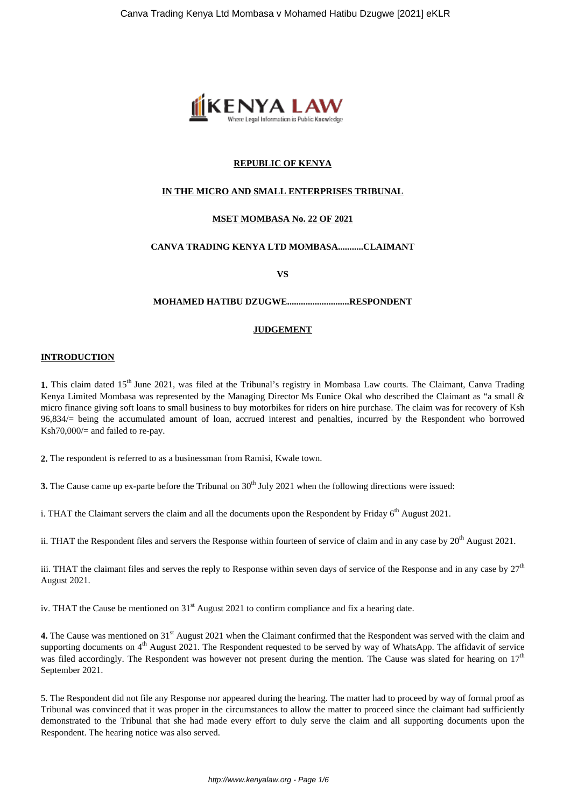

# **REPUBLIC OF KENYA**

# **IN THE MICRO AND SMALL ENTERPRISES TRIBUNAL**

# **MSET MOMBASA No. 22 OF 2021**

# **CANVA TRADING KENYA LTD MOMBASA...........CLAIMANT**

**VS**

### **MOHAMED HATIBU DZUGWE...........................RESPONDENT**

#### **JUDGEMENT**

#### **INTRODUCTION**

1. This claim dated 15<sup>th</sup> June 2021, was filed at the Tribunal's registry in Mombasa Law courts. The Claimant, Canva Trading Kenya Limited Mombasa was represented by the Managing Director Ms Eunice Okal who described the Claimant as "a small & micro finance giving soft loans to small business to buy motorbikes for riders on hire purchase. The claim was for recovery of Ksh 96,834/= being the accumulated amount of loan, accrued interest and penalties, incurred by the Respondent who borrowed Ksh70,000/= and failed to re-pay.

**2.** The respondent is referred to as a businessman from Ramisi, Kwale town.

**3.** The Cause came up ex-parte before the Tribunal on 30<sup>th</sup> July 2021 when the following directions were issued:

i. THAT the Claimant servers the claim and all the documents upon the Respondent by Friday  $6<sup>th</sup>$  August 2021.

ii. THAT the Respondent files and servers the Response within fourteen of service of claim and in any case by  $20^{th}$  August 2021.

iii. THAT the claimant files and serves the reply to Response within seven days of service of the Response and in any case by  $27<sup>th</sup>$ August 2021.

iv. THAT the Cause be mentioned on 31<sup>st</sup> August 2021 to confirm compliance and fix a hearing date.

**4.** The Cause was mentioned on 31<sup>st</sup> August 2021 when the Claimant confirmed that the Respondent was served with the claim and supporting documents on  $4<sup>th</sup>$  August 2021. The Respondent requested to be served by way of WhatsApp. The affidavit of service was filed accordingly. The Respondent was however not present during the mention. The Cause was slated for hearing on  $17<sup>th</sup>$ September 2021.

5. The Respondent did not file any Response nor appeared during the hearing. The matter had to proceed by way of formal proof as Tribunal was convinced that it was proper in the circumstances to allow the matter to proceed since the claimant had sufficiently demonstrated to the Tribunal that she had made every effort to duly serve the claim and all supporting documents upon the Respondent. The hearing notice was also served.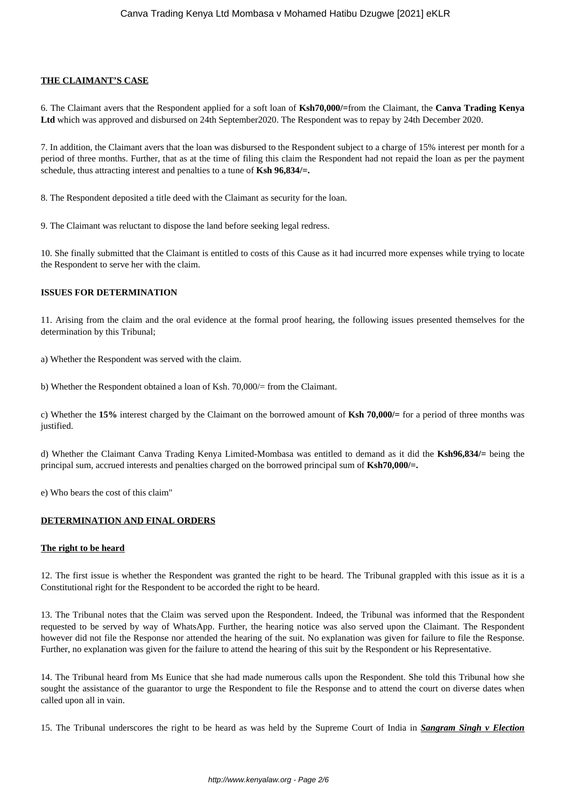### **THE CLAIMANT'S CASE**

6. The Claimant avers that the Respondent applied for a soft loan of **Ksh70,000/=**from the Claimant, the **Canva Trading Kenya Ltd** which was approved and disbursed on 24th September2020. The Respondent was to repay by 24th December 2020.

7. In addition, the Claimant avers that the loan was disbursed to the Respondent subject to a charge of 15% interest per month for a period of three months. Further, that as at the time of filing this claim the Respondent had not repaid the loan as per the payment schedule, thus attracting interest and penalties to a tune of **Ksh 96,834/=.**

8. The Respondent deposited a title deed with the Claimant as security for the loan.

9. The Claimant was reluctant to dispose the land before seeking legal redress.

10. She finally submitted that the Claimant is entitled to costs of this Cause as it had incurred more expenses while trying to locate the Respondent to serve her with the claim.

# **ISSUES FOR DETERMINATION**

11. Arising from the claim and the oral evidence at the formal proof hearing, the following issues presented themselves for the determination by this Tribunal;

a) Whether the Respondent was served with the claim.

b) Whether the Respondent obtained a loan of Ksh. 70,000/= from the Claimant.

c) Whether the **15%** interest charged by the Claimant on the borrowed amount of **Ksh 70,000/=** for a period of three months was justified.

d) Whether the Claimant Canva Trading Kenya Limited-Mombasa was entitled to demand as it did the **Ksh96,834/=** being the principal sum, accrued interests and penalties charged on the borrowed principal sum of **Ksh70,000/=.**

e) Who bears the cost of this claim"

#### **DETERMINATION AND FINAL ORDERS**

#### **The right to be heard**

12. The first issue is whether the Respondent was granted the right to be heard. The Tribunal grappled with this issue as it is a Constitutional right for the Respondent to be accorded the right to be heard.

13. The Tribunal notes that the Claim was served upon the Respondent. Indeed, the Tribunal was informed that the Respondent requested to be served by way of WhatsApp. Further, the hearing notice was also served upon the Claimant. The Respondent however did not file the Response nor attended the hearing of the suit. No explanation was given for failure to file the Response. Further, no explanation was given for the failure to attend the hearing of this suit by the Respondent or his Representative.

14. The Tribunal heard from Ms Eunice that she had made numerous calls upon the Respondent. She told this Tribunal how she sought the assistance of the guarantor to urge the Respondent to file the Response and to attend the court on diverse dates when called upon all in vain.

15. The Tribunal underscores the right to be heard as was held by the Supreme Court of India in *Sangram Singh v Election*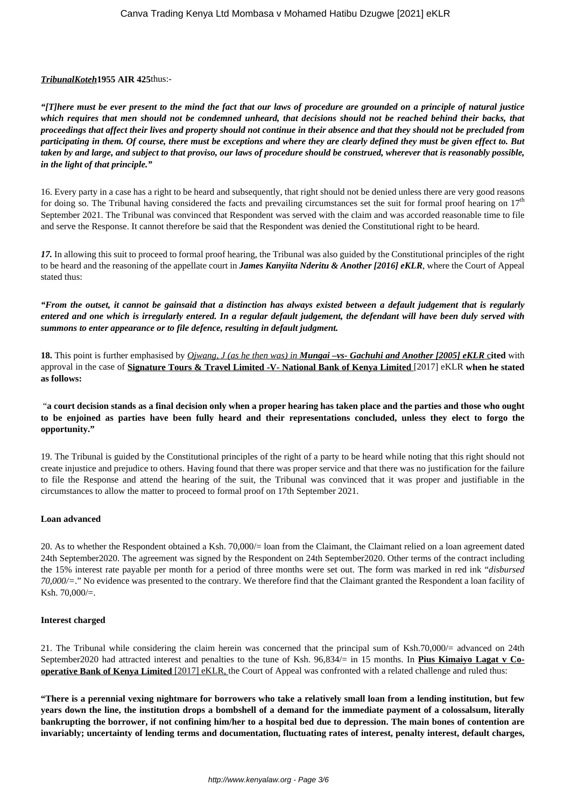### *TribunalKoteh***1955 AIR 425**thus:-

*"[T]here must be ever present to the mind the fact that our laws of procedure are grounded on a principle of natural justice which requires that men should not be condemned unheard, that decisions should not be reached behind their backs, that proceedings that affect their lives and property should not continue in their absence and that they should not be precluded from participating in them. Of course, there must be exceptions and where they are clearly defined they must be given effect to. But taken by and large, and subject to that proviso, our laws of procedure should be construed, wherever that is reasonably possible, in the light of that principle."*

16. Every party in a case has a right to be heard and subsequently, that right should not be denied unless there are very good reasons for doing so. The Tribunal having considered the facts and prevailing circumstances set the suit for formal proof hearing on  $17<sup>th</sup>$ September 2021. The Tribunal was convinced that Respondent was served with the claim and was accorded reasonable time to file and serve the Response. It cannot therefore be said that the Respondent was denied the Constitutional right to be heard.

*17.* In allowing this suit to proceed to formal proof hearing, the Tribunal was also guided by the Constitutional principles of the right to be heard and the reasoning of the appellate court in *James Kanyiita Nderitu & Another [2016] eKLR*, where the Court of Appeal stated thus:

*"From the outset, it cannot be gainsaid that a distinction has always existed between a default judgement that is regularly entered and one which is irregularly entered. In a regular default judgement, the defendant will have been duly served with summons to enter appearance or to file defence, resulting in default judgment.*

**18.** This point is further emphasised by *Ojwang, J (as he then was) in Mungai –vs- Gachuhi and Another [2005] eKLR* c**ited** with approval in the case of **Signature Tours & Travel Limited -V- National Bank of Kenya Limited** [2017] eKLR **when he stated as follows:** 

"**a court decision stands as a final decision only when a proper hearing has taken place and the parties and those who ought to be enjoined as parties have been fully heard and their representations concluded, unless they elect to forgo the opportunity."**

19. The Tribunal is guided by the Constitutional principles of the right of a party to be heard while noting that this right should not create injustice and prejudice to others. Having found that there was proper service and that there was no justification for the failure to file the Response and attend the hearing of the suit, the Tribunal was convinced that it was proper and justifiable in the circumstances to allow the matter to proceed to formal proof on 17th September 2021.

#### **Loan advanced**

20. As to whether the Respondent obtained a Ksh. 70,000/= loan from the Claimant, the Claimant relied on a loan agreement dated 24th September2020. The agreement was signed by the Respondent on 24th September2020. Other terms of the contract including the 15% interest rate payable per month for a period of three months were set out. The form was marked in red ink "*disbursed 70,000/=*." No evidence was presented to the contrary. We therefore find that the Claimant granted the Respondent a loan facility of Ksh. 70,000/=.

#### **Interest charged**

21. The Tribunal while considering the claim herein was concerned that the principal sum of Ksh.70,000/= advanced on 24th September2020 had attracted interest and penalties to the tune of Ksh. 96,834/= in 15 months. In **Pius Kimaiyo Lagat v Cooperative Bank of Kenya Limited** [2017] eKLR, the Court of Appeal was confronted with a related challenge and ruled thus:

**"There is a perennial vexing nightmare for borrowers who take a relatively small loan from a lending institution, but few years down the line, the institution drops a bombshell of a demand for the immediate payment of a colossalsum, literally bankrupting the borrower, if not confining him/her to a hospital bed due to depression. The main bones of contention are invariably; uncertainty of lending terms and documentation, fluctuating rates of interest, penalty interest, default charges,**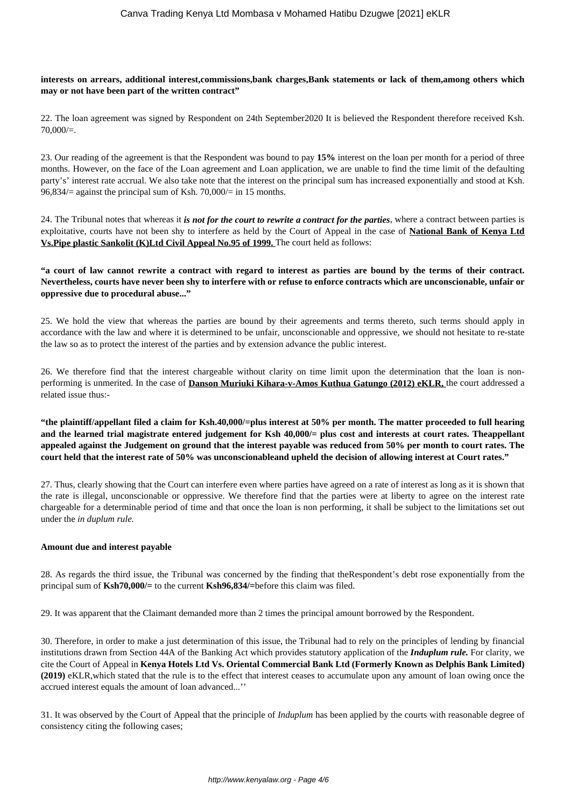#### **interests on arrears, additional interest,commissions,bank charges,Bank statements or lack of them,among others which may or not have been part of the written contract"**

22. The loan agreement was signed by Respondent on 24th September2020 It is believed the Respondent therefore received Ksh.  $70,000/=$ .

23. Our reading of the agreement is that the Respondent was bound to pay **15%** interest on the loan per month for a period of three months. However, on the face of the Loan agreement and Loan application, we are unable to find the time limit of the defaulting party's' interest rate accrual. We also take note that the interest on the principal sum has increased exponentially and stood at Ksh.  $96,834/$  against the principal sum of Ksh. 70,000/ = in 15 months.

24. The Tribunal notes that whereas it *is not for the court to rewrite a contract for the parties*, where a contract between parties is exploitative, courts have not been shy to interfere as held by the Court of Appeal in the case of **National Bank of Kenya Ltd Vs.Pipe plastic Sankolit (K)Ltd Civil Appeal No.95 of 1999.** The court held as follows:

# **"a court of law cannot rewrite a contract with regard to interest as parties are bound by the terms of their contract. Nevertheless, courts have never been shy to interfere with or refuse to enforce contracts which are unconscionable, unfair or oppressive due to procedural abuse..."**

25. We hold the view that whereas the parties are bound by their agreements and terms thereto, such terms should apply in accordance with the law and where it is determined to be unfair, unconscionable and oppressive, we should not hesitate to re-state the law so as to protect the interest of the parties and by extension advance the public interest.

26. We therefore find that the interest chargeable without clarity on time limit upon the determination that the loan is nonperforming is unmerited. In the case of **Danson Muriuki Kihara-v-Amos Kuthua Gatungo (2012) eKLR,** the court addressed a related issue thus:-

**"the plaintiff/appellant filed a claim for Ksh.40,000/=plus interest at 50% per month. The matter proceeded to full hearing and the learned trial magistrate entered judgement for Ksh 40,000/= plus cost and interests at court rates. Theappellant appealed against the Judgement on ground that the interest payable was reduced from 50% per month to court rates. The court held that the interest rate of 50% was unconscionableand upheld the decision of allowing interest at Court rates."**

27. Thus, clearly showing that the Court can interfere even where parties have agreed on a rate of interest as long as it is shown that the rate is illegal, unconscionable or oppressive. We therefore find that the parties were at liberty to agree on the interest rate chargeable for a determinable period of time and that once the loan is non performing, it shall be subject to the limitations set out under the *in duplum rule.* 

#### **Amount due and interest payable**

28. As regards the third issue, the Tribunal was concerned by the finding that theRespondent's debt rose exponentially from the principal sum of **Ksh70,000/=** to the current **Ksh96,834/=**before this claim was filed.

29. It was apparent that the Claimant demanded more than 2 times the principal amount borrowed by the Respondent.

30. Therefore, in order to make a just determination of this issue, the Tribunal had to rely on the principles of lending by financial institutions drawn from Section 44A of the Banking Act which provides statutory application of the *Induplum rule.* For clarity, we cite the Court of Appeal in **Kenya Hotels Ltd Vs. Oriental Commercial Bank Ltd (Formerly Known as Delphis Bank Limited) (2019)** eKLR,which stated that the rule is to the effect that interest ceases to accumulate upon any amount of loan owing once the accrued interest equals the amount of loan advanced...''

31. It was observed by the Court of Appeal that the principle of *Induplum* has been applied by the courts with reasonable degree of consistency citing the following cases;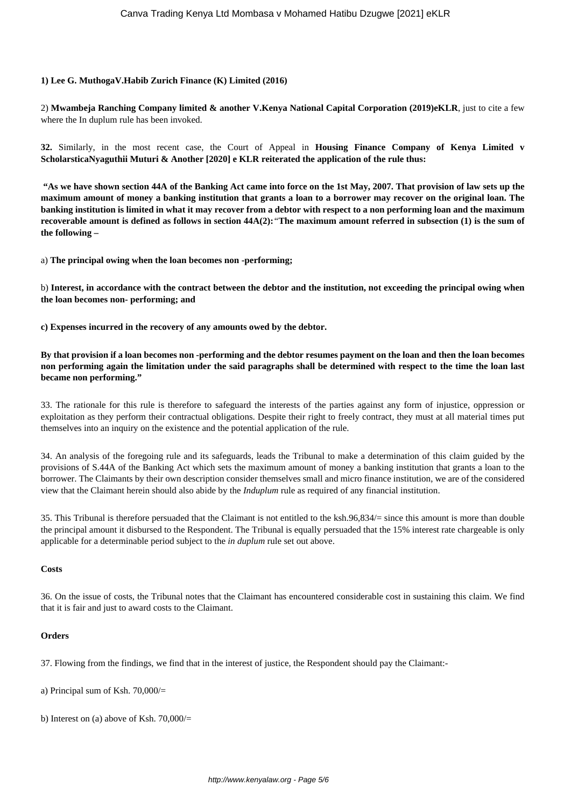#### **1) Lee G. MuthogaV.Habib Zurich Finance (K) Limited (2016)**

2) **Mwambeja Ranching Company limited & another V.Kenya National Capital Corporation (2019)eKLR**, just to cite a few where the In duplum rule has been invoked.

**32.** Similarly, in the most recent case, the Court of Appeal in **Housing Finance Company of Kenya Limited v ScholarsticaNyaguthii Muturi & Another [2020] e KLR reiterated the application of the rule thus:** 

**"As we have shown section 44A of the Banking Act came into force on the 1st May, 2007. That provision of law sets up the maximum amount of money a banking institution that grants a loan to a borrower may recover on the original loan. The banking institution is limited in what it may recover from a debtor with respect to a non performing loan and the maximum recoverable amount is defined as follows in section 44A(2):***"***The maximum amount referred in subsection (1) is the sum of the following –**

a) **The principal owing when the loan becomes non -performing;**

b) **Interest, in accordance with the contract between the debtor and the institution, not exceeding the principal owing when the loan becomes non- performing; and**

**c) Expenses incurred in the recovery of any amounts owed by the debtor.**

**By that provision if a loan becomes non -performing and the debtor resumes payment on the loan and then the loan becomes non performing again the limitation under the said paragraphs shall be determined with respect to the time the loan last became non performing."**

33. The rationale for this rule is therefore to safeguard the interests of the parties against any form of injustice, oppression or exploitation as they perform their contractual obligations. Despite their right to freely contract, they must at all material times put themselves into an inquiry on the existence and the potential application of the rule.

34. An analysis of the foregoing rule and its safeguards, leads the Tribunal to make a determination of this claim guided by the provisions of S.44A of the Banking Act which sets the maximum amount of money a banking institution that grants a loan to the borrower. The Claimants by their own description consider themselves small and micro finance institution, we are of the considered view that the Claimant herein should also abide by the *Induplum* rule as required of any financial institution.

35. This Tribunal is therefore persuaded that the Claimant is not entitled to the ksh.96,834/= since this amount is more than double the principal amount it disbursed to the Respondent. The Tribunal is equally persuaded that the 15% interest rate chargeable is only applicable for a determinable period subject to the *in duplum* rule set out above.

#### **Costs**

36. On the issue of costs, the Tribunal notes that the Claimant has encountered considerable cost in sustaining this claim. We find that it is fair and just to award costs to the Claimant.

#### **Orders**

37. Flowing from the findings, we find that in the interest of justice, the Respondent should pay the Claimant:-

- a) Principal sum of Ksh. 70,000/=
- b) Interest on (a) above of Ksh. 70,000/=